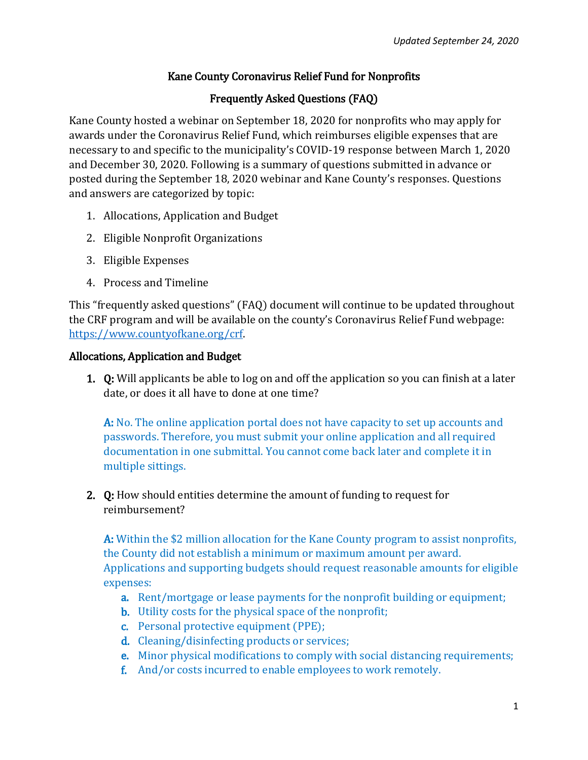### Kane County Coronavirus Relief Fund for Nonprofits

## Frequently Asked Questions (FAQ)

Kane County hosted a webinar on September 18, 2020 for nonprofits who may apply for awards under the Coronavirus Relief Fund, which reimburses eligible expenses that are necessary to and specific to the municipality's COVID-19 response between March 1, 2020 and December 30, 2020. Following is a summary of questions submitted in advance or posted during the September 18, 2020 webinar and Kane County's responses. Questions and answers are categorized by topic:

- 1. Allocations, Application and Budget
- 2. Eligible Nonprofit Organizations
- 3. Eligible Expenses
- 4. Process and Timeline

This "frequently asked questions" (FAQ) document will continue to be updated throughout the CRF program and will be available on the county's Coronavirus Relief Fund webpage: [https://www.countyofkane.org/crf.](https://nam12.safelinks.protection.outlook.com/?url=https%3A%2F%2Fwww.countyofkane.org%2Fcrf&data=02%7C01%7Cbethanyj%40kebcpa.com%7C4f000ca6abd64b6c2b6f08d83e293370%7Cb3405b9dbf3645aab245609d82230e69%7C0%7C0%7C637327693973128977&sdata=nK0bBVq%2Fr0iy9tc8ouJbXHaZ6JoZmElt2UgRK2tl%2B3o%3D&reserved=0)

#### Allocations, Application and Budget

1. Q: Will applicants be able to log on and off the application so you can finish at a later date, or does it all have to done at one time?

A: No. The online application portal does not have capacity to set up accounts and passwords. Therefore, you must submit your online application and all required documentation in one submittal. You cannot come back later and complete it in multiple sittings.

2. Q: How should entities determine the amount of funding to request for reimbursement?

A: Within the \$2 million allocation for the Kane County program to assist nonprofits, the County did not establish a minimum or maximum amount per award. Applications and supporting budgets should request reasonable amounts for eligible expenses:

- a. Rent/mortgage or lease payments for the nonprofit building or equipment;
- b. Utility costs for the physical space of the nonprofit;
- c. Personal protective equipment (PPE);
- d. Cleaning/disinfecting products or services;
- e. Minor physical modifications to comply with social distancing requirements;
- f. And/or costs incurred to enable employees to work remotely.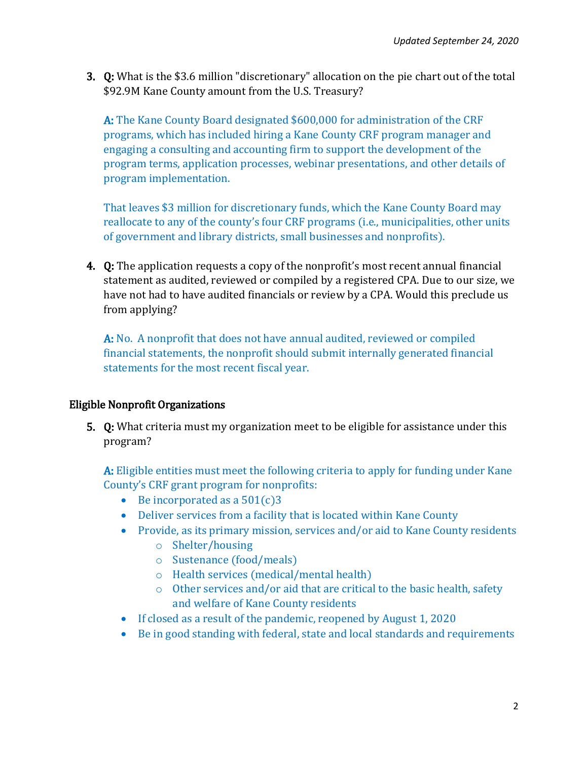3. Q: What is the \$3.6 million "discretionary" allocation on the pie chart out of the total \$92.9M Kane County amount from the U.S. Treasury?

A: The Kane County Board designated \$600,000 for administration of the CRF programs, which has included hiring a Kane County CRF program manager and engaging a consulting and accounting firm to support the development of the program terms, application processes, webinar presentations, and other details of program implementation.

That leaves \$3 million for discretionary funds, which the Kane County Board may reallocate to any of the county's four CRF programs (i.e., municipalities, other units of government and library districts, small businesses and nonprofits).

4. Q: The application requests a copy of the nonprofit's most recent annual financial statement as audited, reviewed or compiled by a registered CPA. Due to our size, we have not had to have audited financials or review by a CPA. Would this preclude us from applying?

A: No. A nonprofit that does not have annual audited, reviewed or compiled financial statements, the nonprofit should submit internally generated financial statements for the most recent fiscal year.

#### Eligible Nonprofit Organizations

5. Q: What criteria must my organization meet to be eligible for assistance under this program?

A: Eligible entities must meet the following criteria to apply for funding under Kane County's CRF grant program for nonprofits:

- Be incorporated as a  $501(c)3$
- Deliver services from a facility that is located within Kane County
- Provide, as its primary mission, services and/or aid to Kane County residents
	- o Shelter/housing
	- o Sustenance (food/meals)
	- o Health services (medical/mental health)
	- o Other services and/or aid that are critical to the basic health, safety and welfare of Kane County residents
- If closed as a result of the pandemic, reopened by August 1, 2020
- Be in good standing with federal, state and local standards and requirements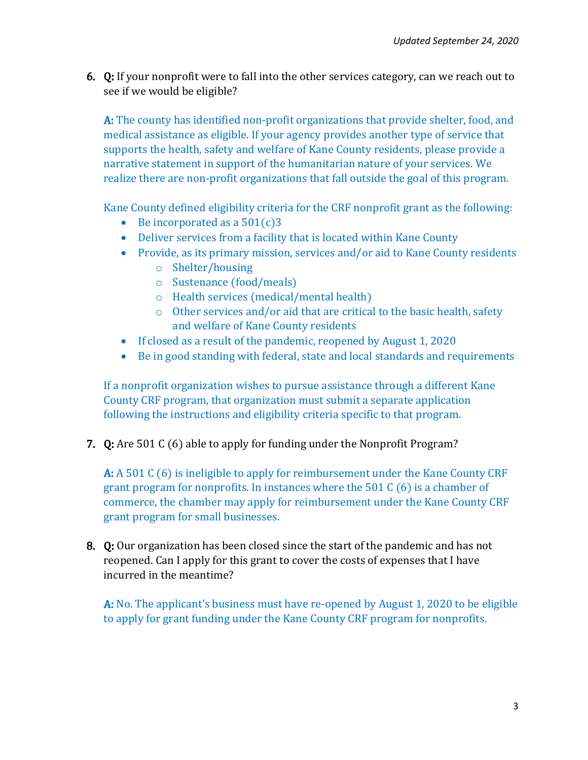6. Q: If your nonprofit were to fall into the other services category, can we reach out to see if we would be eligible?

A: The county has identified non-profit organizations that provide shelter, food, and medical assistance as eligible. If your agency provides another type of service that supports the health, safety and welfare of Kane County residents, please provide a narrative statement in support of the humanitarian nature of your services. We realize there are non-profit organizations that fall outside the goal of this program.

Kane County defined eligibility criteria for the CRF nonprofit grant as the following:

- Be incorporated as a  $501(c)3$
- Deliver services from a facility that is located within Kane County
- Provide, as its primary mission, services and/or aid to Kane County residents
	- o Shelter/housing
	- o Sustenance (food/meals)
	- o Health services (medical/mental health)
	- o Other services and/or aid that are critical to the basic health, safety and welfare of Kane County residents
- If closed as a result of the pandemic, reopened by August 1, 2020
- Be in good standing with federal, state and local standards and requirements

If a nonprofit organization wishes to pursue assistance through a different Kane County CRF program, that organization must submit a separate application following the instructions and eligibility criteria specific to that program.

7. Q: Are 501 C (6) able to apply for funding under the Nonprofit Program?

A: A 501 C (6) is ineligible to apply for reimbursement under the Kane County CRF grant program for nonprofits. In instances where the 501 C (6) is a chamber of commerce, the chamber may apply for reimbursement under the Kane County CRF grant program for small businesses.

8. Q: Our organization has been closed since the start of the pandemic and has not reopened. Can I apply for this grant to cover the costs of expenses that I have incurred in the meantime?

A: No. The applicant's business must have re-opened by August 1, 2020 to be eligible to apply for grant funding under the Kane County CRF program for nonprofits.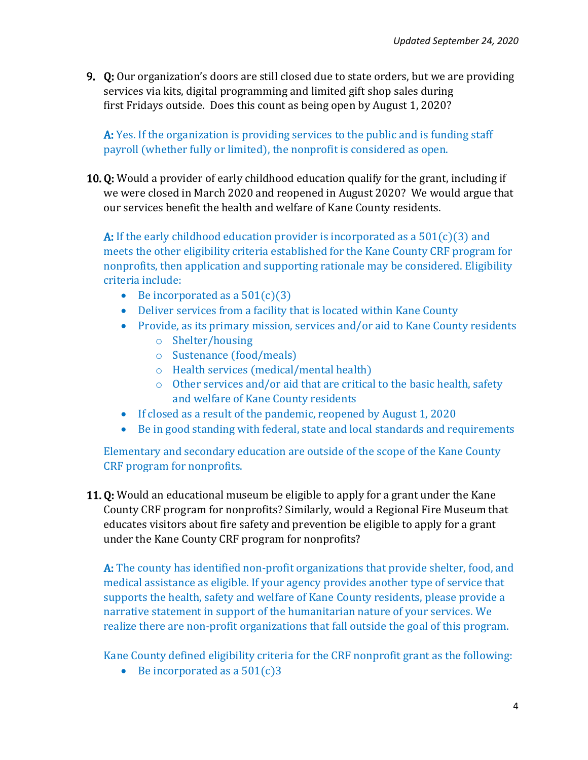9. Q: Our organization's doors are still closed due to state orders, but we are providing services via kits, digital programming and limited gift shop sales during first Fridays outside. Does this count as being open by August 1, 2020?

A: Yes. If the organization is providing services to the public and is funding staff payroll (whether fully or limited), the nonprofit is considered as open.

10. Q: Would a provider of early childhood education qualify for the grant, including if we were closed in March 2020 and reopened in August 2020? We would argue that our services benefit the health and welfare of Kane County residents.

A: If the early childhood education provider is incorporated as a  $501(c)(3)$  and meets the other eligibility criteria established for the Kane County CRF program for nonprofits, then application and supporting rationale may be considered. Eligibility criteria include:

- Be incorporated as a  $501(c)(3)$
- Deliver services from a facility that is located within Kane County
- Provide, as its primary mission, services and/or aid to Kane County residents
	- o Shelter/housing
	- o Sustenance (food/meals)
	- o Health services (medical/mental health)
	- o Other services and/or aid that are critical to the basic health, safety and welfare of Kane County residents
- If closed as a result of the pandemic, reopened by August 1, 2020
- Be in good standing with federal, state and local standards and requirements

Elementary and secondary education are outside of the scope of the Kane County CRF program for nonprofits.

11. Q: Would an educational museum be eligible to apply for a grant under the Kane County CRF program for nonprofits? Similarly, would a Regional Fire Museum that educates visitors about fire safety and prevention be eligible to apply for a grant under the Kane County CRF program for nonprofits?

A: The county has identified non-profit organizations that provide shelter, food, and medical assistance as eligible. If your agency provides another type of service that supports the health, safety and welfare of Kane County residents, please provide a narrative statement in support of the humanitarian nature of your services. We realize there are non-profit organizations that fall outside the goal of this program.

Kane County defined eligibility criteria for the CRF nonprofit grant as the following:

Be incorporated as a  $501(c)3$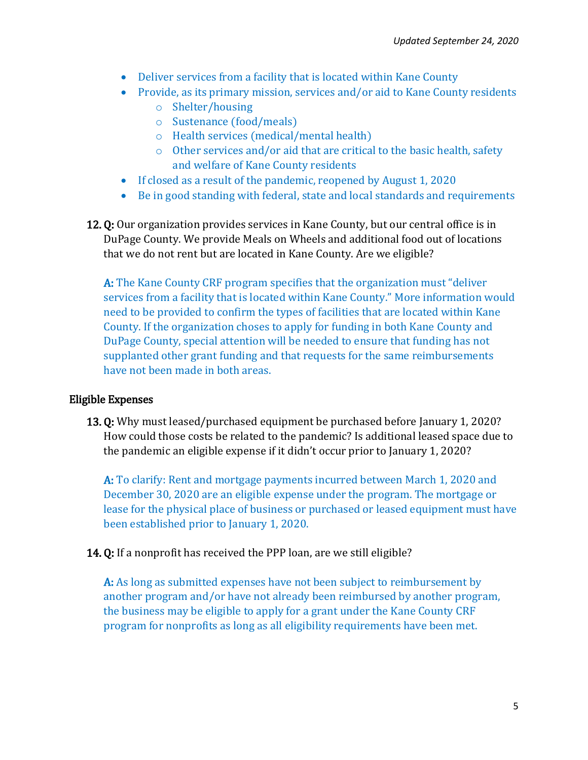- Deliver services from a facility that is located within Kane County
- Provide, as its primary mission, services and/or aid to Kane County residents
	- o Shelter/housing
	- o Sustenance (food/meals)
	- o Health services (medical/mental health)
	- o Other services and/or aid that are critical to the basic health, safety and welfare of Kane County residents
- If closed as a result of the pandemic, reopened by August 1, 2020
- Be in good standing with federal, state and local standards and requirements
- 12. Q: Our organization provides services in Kane County, but our central office is in DuPage County. We provide Meals on Wheels and additional food out of locations that we do not rent but are located in Kane County. Are we eligible?

A: The Kane County CRF program specifies that the organization must "deliver services from a facility that is located within Kane County." More information would need to be provided to confirm the types of facilities that are located within Kane County. If the organization choses to apply for funding in both Kane County and DuPage County, special attention will be needed to ensure that funding has not supplanted other grant funding and that requests for the same reimbursements have not been made in both areas.

# Eligible Expenses

13. Q: Why must leased/purchased equipment be purchased before January 1, 2020? How could those costs be related to the pandemic? Is additional leased space due to the pandemic an eligible expense if it didn't occur prior to January 1, 2020?

A: To clarify: Rent and mortgage payments incurred between March 1, 2020 and December 30, 2020 are an eligible expense under the program. The mortgage or lease for the physical place of business or purchased or leased equipment must have been established prior to January 1, 2020.

14. Q: If a nonprofit has received the PPP loan, are we still eligible?

A: As long as submitted expenses have not been subject to reimbursement by another program and/or have not already been reimbursed by another program, the business may be eligible to apply for a grant under the Kane County CRF program for nonprofits as long as all eligibility requirements have been met.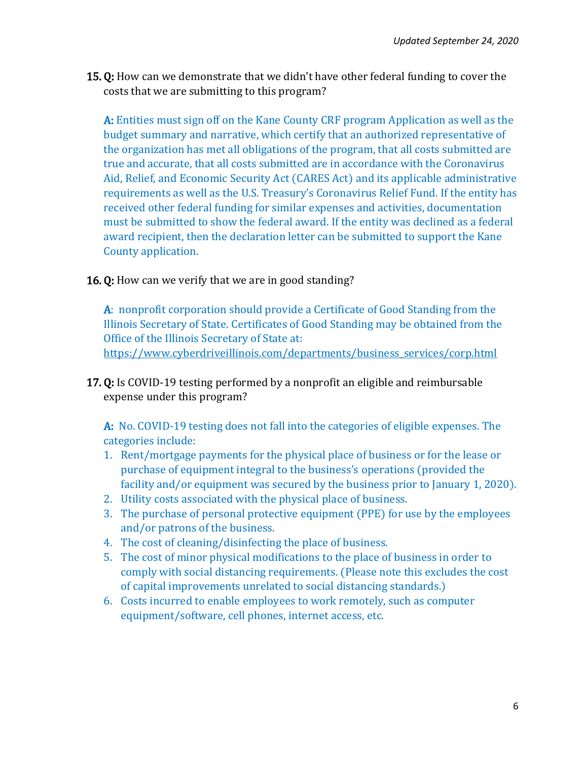15. Q: How can we demonstrate that we didn't have other federal funding to cover the costs that we are submitting to this program?

A: Entities must sign off on the Kane County CRF program Application as well as the budget summary and narrative, which certify that an authorized representative of the organization has met all obligations of the program, that all costs submitted are true and accurate, that all costs submitted are in accordance with the Coronavirus Aid, Relief, and Economic Security Act (CARES Act) and its applicable administrative requirements as well as the U.S. Treasury's Coronavirus Relief Fund. If the entity has received other federal funding for similar expenses and activities, documentation must be submitted to show the federal award. If the entity was declined as a federal award recipient, then the declaration letter can be submitted to support the Kane County application.

16. Q: How can we verify that we are in good standing?

A: nonprofit corporation should provide a Certificate of Good Standing from the Illinois Secretary of State. Certificates of Good Standing may be obtained from the Office of the Illinois Secretary of State at: [https://www.cyberdriveillinois.com/departments/business\\_services/corp.html](https://www.cyberdriveillinois.com/departments/business_services/corp.html)

**17. Q:** Is COVID-19 testing performed by a nonprofit an eligible and reimbursable expense under this program?

A: No. COVID-19 testing does not fall into the categories of eligible expenses. The categories include:

- 1. Rent/mortgage payments for the physical place of business or for the lease or purchase of equipment integral to the business's operations (provided the facility and/or equipment was secured by the business prior to January 1, 2020).
- 2. Utility costs associated with the physical place of business.
- 3. The purchase of personal protective equipment (PPE) for use by the employees and/or patrons of the business.
- 4. The cost of cleaning/disinfecting the place of business.
- 5. The cost of minor physical modifications to the place of business in order to comply with social distancing requirements. (Please note this excludes the cost of capital improvements unrelated to social distancing standards.)
- 6. Costs incurred to enable employees to work remotely, such as computer equipment/software, cell phones, internet access, etc.